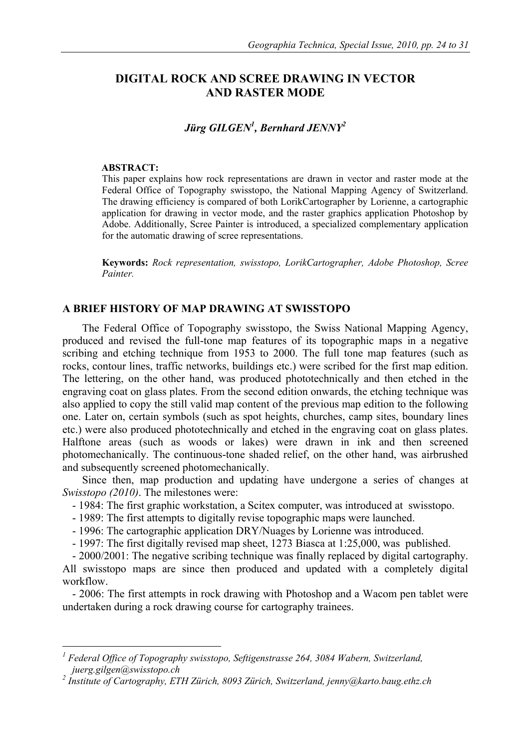# **DIGITAL ROCK AND SCREE DRAWING IN VECTOR AND RASTER MODE**

# *Jürg GILGEN1 , Bernhard JENNY2*

#### **ABSTRACT:**

 $\overline{a}$ 

This paper explains how rock representations are drawn in vector and raster mode at the Federal Office of Topography swisstopo, the National Mapping Agency of Switzerland. The drawing efficiency is compared of both LorikCartographer by Lorienne, a cartographic application for drawing in vector mode, and the raster graphics application Photoshop by Adobe. Additionally, Scree Painter is introduced, a specialized complementary application for the automatic drawing of scree representations.

**Keywords:** *Rock representation, swisstopo, LorikCartographer, Adobe Photoshop, Scree Painter.* 

## **A BRIEF HISTORY OF MAP DRAWING AT SWISSTOPO**

The Federal Office of Topography swisstopo, the Swiss National Mapping Agency, produced and revised the full-tone map features of its topographic maps in a negative scribing and etching technique from 1953 to 2000. The full tone map features (such as rocks, contour lines, traffic networks, buildings etc.) were scribed for the first map edition. The lettering, on the other hand, was produced phototechnically and then etched in the engraving coat on glass plates. From the second edition onwards, the etching technique was also applied to copy the still valid map content of the previous map edition to the following one. Later on, certain symbols (such as spot heights, churches, camp sites, boundary lines etc.) were also produced phototechnically and etched in the engraving coat on glass plates. Halftone areas (such as woods or lakes) were drawn in ink and then screened photomechanically. The continuous-tone shaded relief, on the other hand, was airbrushed and subsequently screened photomechanically.

Since then, map production and updating have undergone a series of changes at *Swisstopo (2010)*. The milestones were:

- 1984: The first graphic workstation, a Scitex computer, was introduced at swisstopo.
- 1989: The first attempts to digitally revise topographic maps were launched.
- 1996: The cartographic application DRY/Nuages by Lorienne was introduced.
- 1997: The first digitally revised map sheet, 1273 Biasca at 1:25,000, was published.

- 2000/2001: The negative scribing technique was finally replaced by digital cartography.

All swisstopo maps are since then produced and updated with a completely digital workflow.

- 2006: The first attempts in rock drawing with Photoshop and a Wacom pen tablet were undertaken during a rock drawing course for cartography trainees.

*<sup>1</sup> Federal Office of Topography swisstopo, Seftigenstrasse 264, 3084 Wabern, Switzerland, juerg.gilgen@swisstopo.ch 2*

*Institute of Cartography, ETH Zürich, 8093 Zürich, Switzerland, jenny@karto.baug.ethz.ch*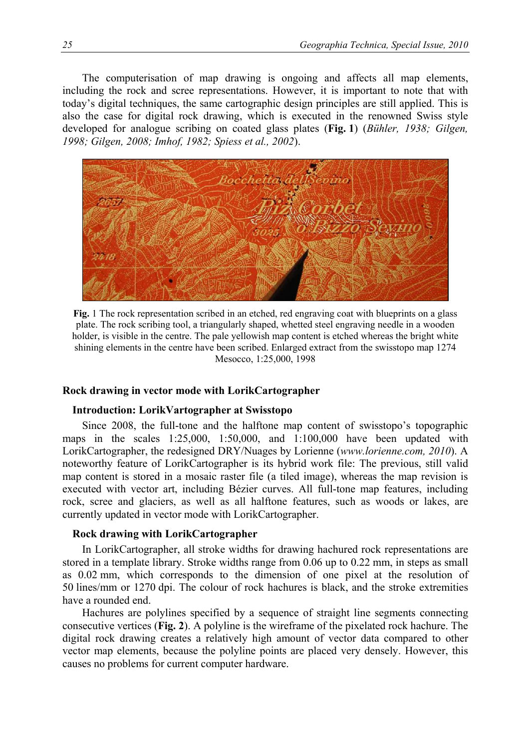The computerisation of map drawing is ongoing and affects all map elements, including the rock and scree representations. However, it is important to note that with today's digital techniques, the same cartographic design principles are still applied. This is also the case for digital rock drawing, which is executed in the renowned Swiss style developed for analogue scribing on coated glass plates (**Fig. 1**) (*Bühler, 1938; Gilgen, 1998; Gilgen, 2008; Imhof, 1982; Spiess et al., 2002*).



**Fig.** 1 The rock representation scribed in an etched, red engraving coat with blueprints on a glass plate. The rock scribing tool, a triangularly shaped, whetted steel engraving needle in a wooden holder, is visible in the centre. The pale yellowish map content is etched whereas the bright white shining elements in the centre have been scribed. Enlarged extract from the swisstopo map 1274 Mesocco, 1:25,000, 1998

## **Rock drawing in vector mode with LorikCartographer**

#### **Introduction: LorikVartographer at Swisstopo**

Since 2008, the full-tone and the halftone map content of swisstopo's topographic maps in the scales 1:25,000, 1:50,000, and 1:100,000 have been updated with LorikCartographer, the redesigned DRY/Nuages by Lorienne (*www.lorienne.com, 2010*). A noteworthy feature of LorikCartographer is its hybrid work file: The previous, still valid map content is stored in a mosaic raster file (a tiled image), whereas the map revision is executed with vector art, including Bézier curves. All full-tone map features, including rock, scree and glaciers, as well as all halftone features, such as woods or lakes, are currently updated in vector mode with LorikCartographer.

## **Rock drawing with LorikCartographer**

In LorikCartographer, all stroke widths for drawing hachured rock representations are stored in a template library. Stroke widths range from 0.06 up to 0.22 mm, in steps as small as 0.02 mm, which corresponds to the dimension of one pixel at the resolution of 50 lines/mm or 1270 dpi. The colour of rock hachures is black, and the stroke extremities have a rounded end.

Hachures are polylines specified by a sequence of straight line segments connecting consecutive vertices (**Fig. 2**). A polyline is the wireframe of the pixelated rock hachure. The digital rock drawing creates a relatively high amount of vector data compared to other vector map elements, because the polyline points are placed very densely. However, this causes no problems for current computer hardware.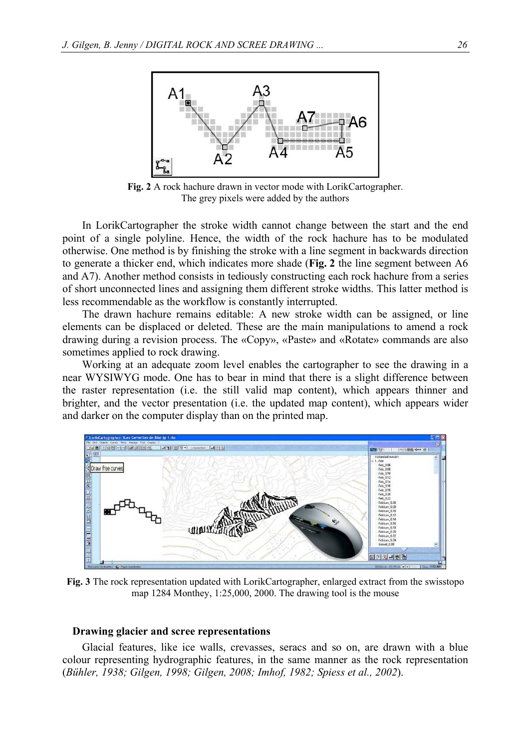

**Fig. 2** A rock hachure drawn in vector mode with LorikCartographer. The grey pixels were added by the authors

In LorikCartographer the stroke width cannot change between the start and the end point of a single polyline. Hence, the width of the rock hachure has to be modulated otherwise. One method is by finishing the stroke with a line segment in backwards direction to generate a thicker end, which indicates more shade (**Fig. 2** the line segment between A6 and A7). Another method consists in tediously constructing each rock hachure from a series of short unconnected lines and assigning them different stroke widths. This latter method is less recommendable as the workflow is constantly interrupted.

The drawn hachure remains editable: A new stroke width can be assigned, or line elements can be displaced or deleted. These are the main manipulations to amend a rock drawing during a revision process. The «Copy», «Paste» and «Rotate» commands are also sometimes applied to rock drawing.

Working at an adequate zoom level enables the cartographer to see the drawing in a near WYSIWYG mode. One has to bear in mind that there is a slight difference between the raster representation (i.e. the still valid map content), which appears thinner and brighter, and the vector presentation (i.e. the updated map content), which appears wider and darker on the computer display than on the printed map.



**Fig. 3** The rock representation updated with LorikCartographer, enlarged extract from the swisstopo map 1284 Monthey, 1:25,000, 2000. The drawing tool is the mouse

#### **Drawing glacier and scree representations**

Glacial features, like ice walls, crevasses, seracs and so on, are drawn with a blue colour representing hydrographic features, in the same manner as the rock representation (*Bühler, 1938; Gilgen, 1998; Gilgen, 2008; Imhof, 1982; Spiess et al., 2002*).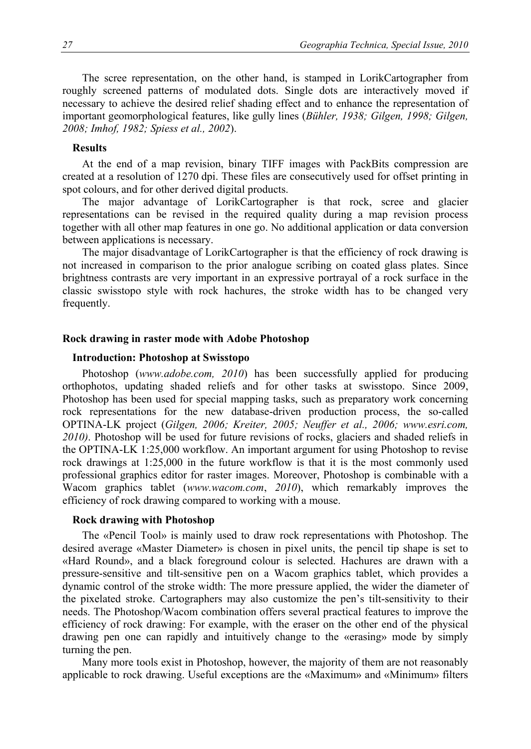The scree representation, on the other hand, is stamped in LorikCartographer from roughly screened patterns of modulated dots. Single dots are interactively moved if necessary to achieve the desired relief shading effect and to enhance the representation of important geomorphological features, like gully lines (*Bühler, 1938; Gilgen, 1998; Gilgen, 2008; Imhof, 1982; Spiess et al., 2002*).

## **Results**

At the end of a map revision, binary TIFF images with PackBits compression are created at a resolution of 1270 dpi. These files are consecutively used for offset printing in spot colours, and for other derived digital products.

The major advantage of LorikCartographer is that rock, scree and glacier representations can be revised in the required quality during a map revision process together with all other map features in one go. No additional application or data conversion between applications is necessary.

The major disadvantage of LorikCartographer is that the efficiency of rock drawing is not increased in comparison to the prior analogue scribing on coated glass plates. Since brightness contrasts are very important in an expressive portrayal of a rock surface in the classic swisstopo style with rock hachures, the stroke width has to be changed very frequently.

#### **Rock drawing in raster mode with Adobe Photoshop**

### **Introduction: Photoshop at Swisstopo**

Photoshop (*www.adobe.com, 2010*) has been successfully applied for producing orthophotos, updating shaded reliefs and for other tasks at swisstopo. Since 2009, Photoshop has been used for special mapping tasks, such as preparatory work concerning rock representations for the new database-driven production process, the so-called OPTINA-LK project (*Gilgen, 2006; Kreiter, 2005; Neuffer et al., 2006; www.esri.com, 2010)*. Photoshop will be used for future revisions of rocks, glaciers and shaded reliefs in the OPTINA-LK 1:25,000 workflow. An important argument for using Photoshop to revise rock drawings at 1:25,000 in the future workflow is that it is the most commonly used professional graphics editor for raster images. Moreover, Photoshop is combinable with a Wacom graphics tablet (*www.wacom.com*, *2010*), which remarkably improves the efficiency of rock drawing compared to working with a mouse.

### **Rock drawing with Photoshop**

The «Pencil Tool» is mainly used to draw rock representations with Photoshop. The desired average «Master Diameter» is chosen in pixel units, the pencil tip shape is set to «Hard Round», and a black foreground colour is selected. Hachures are drawn with a pressure-sensitive and tilt-sensitive pen on a Wacom graphics tablet, which provides a dynamic control of the stroke width: The more pressure applied, the wider the diameter of the pixelated stroke. Cartographers may also customize the pen's tilt-sensitivity to their needs. The Photoshop/Wacom combination offers several practical features to improve the efficiency of rock drawing: For example, with the eraser on the other end of the physical drawing pen one can rapidly and intuitively change to the «erasing» mode by simply turning the pen.

Many more tools exist in Photoshop, however, the majority of them are not reasonably applicable to rock drawing. Useful exceptions are the «Maximum» and «Minimum» filters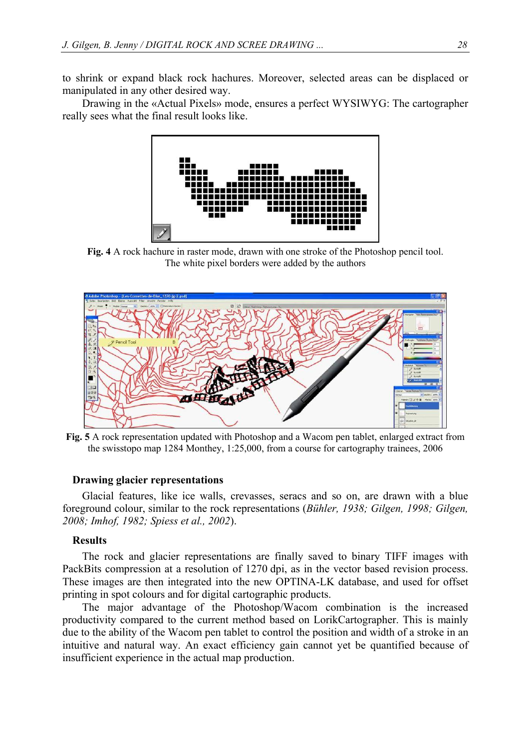to shrink or expand black rock hachures. Moreover, selected areas can be displaced or manipulated in any other desired way.

Drawing in the «Actual Pixels» mode, ensures a perfect WYSIWYG: The cartographer really sees what the final result looks like.



**Fig. 4** A rock hachure in raster mode, drawn with one stroke of the Photoshop pencil tool. The white pixel borders were added by the authors



**Fig. 5** A rock representation updated with Photoshop and a Wacom pen tablet, enlarged extract from the swisstopo map 1284 Monthey, 1:25,000, from a course for cartography trainees, 2006

### **Drawing glacier representations**

Glacial features, like ice walls, crevasses, seracs and so on, are drawn with a blue foreground colour, similar to the rock representations (*Bühler, 1938; Gilgen, 1998; Gilgen, 2008; Imhof, 1982; Spiess et al., 2002*).

#### **Results**

The rock and glacier representations are finally saved to binary TIFF images with PackBits compression at a resolution of 1270 dpi, as in the vector based revision process. These images are then integrated into the new OPTINA-LK database, and used for offset printing in spot colours and for digital cartographic products.

The major advantage of the Photoshop/Wacom combination is the increased productivity compared to the current method based on LorikCartographer. This is mainly due to the ability of the Wacom pen tablet to control the position and width of a stroke in an intuitive and natural way. An exact efficiency gain cannot yet be quantified because of insufficient experience in the actual map production.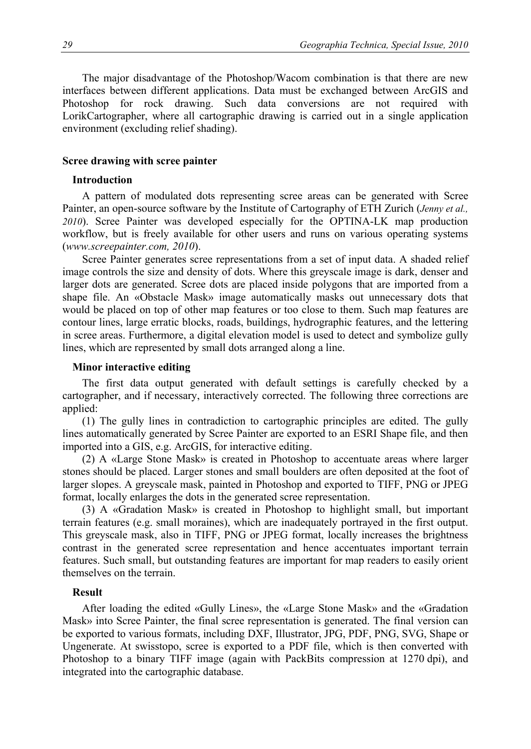The major disadvantage of the Photoshop/Wacom combination is that there are new interfaces between different applications. Data must be exchanged between ArcGIS and Photoshop for rock drawing. Such data conversions are not required with LorikCartographer, where all cartographic drawing is carried out in a single application environment (excluding relief shading).

## **Scree drawing with scree painter**

#### **Introduction**

A pattern of modulated dots representing scree areas can be generated with Scree Painter, an open-source software by the Institute of Cartography of ETH Zurich (*Jenny et al., 2010*). Scree Painter was developed especially for the OPTINA-LK map production workflow, but is freely available for other users and runs on various operating systems (*www.screepainter.com, 2010*).

Scree Painter generates scree representations from a set of input data. A shaded relief image controls the size and density of dots. Where this greyscale image is dark, denser and larger dots are generated. Scree dots are placed inside polygons that are imported from a shape file. An «Obstacle Mask» image automatically masks out unnecessary dots that would be placed on top of other map features or too close to them. Such map features are contour lines, large erratic blocks, roads, buildings, hydrographic features, and the lettering in scree areas. Furthermore, a digital elevation model is used to detect and symbolize gully lines, which are represented by small dots arranged along a line.

### **Minor interactive editing**

The first data output generated with default settings is carefully checked by a cartographer, and if necessary, interactively corrected. The following three corrections are applied:

(1) The gully lines in contradiction to cartographic principles are edited. The gully lines automatically generated by Scree Painter are exported to an ESRI Shape file, and then imported into a GIS, e.g. ArcGIS, for interactive editing.

(2) A «Large Stone Mask» is created in Photoshop to accentuate areas where larger stones should be placed. Larger stones and small boulders are often deposited at the foot of larger slopes. A greyscale mask, painted in Photoshop and exported to TIFF, PNG or JPEG format, locally enlarges the dots in the generated scree representation.

(3) A «Gradation Mask» is created in Photoshop to highlight small, but important terrain features (e.g. small moraines), which are inadequately portrayed in the first output. This greyscale mask, also in TIFF, PNG or JPEG format, locally increases the brightness contrast in the generated scree representation and hence accentuates important terrain features. Such small, but outstanding features are important for map readers to easily orient themselves on the terrain.

## **Result**

After loading the edited «Gully Lines», the «Large Stone Mask» and the «Gradation Mask» into Scree Painter, the final scree representation is generated. The final version can be exported to various formats, including DXF, Illustrator, JPG, PDF, PNG, SVG, Shape or Ungenerate. At swisstopo, scree is exported to a PDF file, which is then converted with Photoshop to a binary TIFF image (again with PackBits compression at 1270 dpi), and integrated into the cartographic database.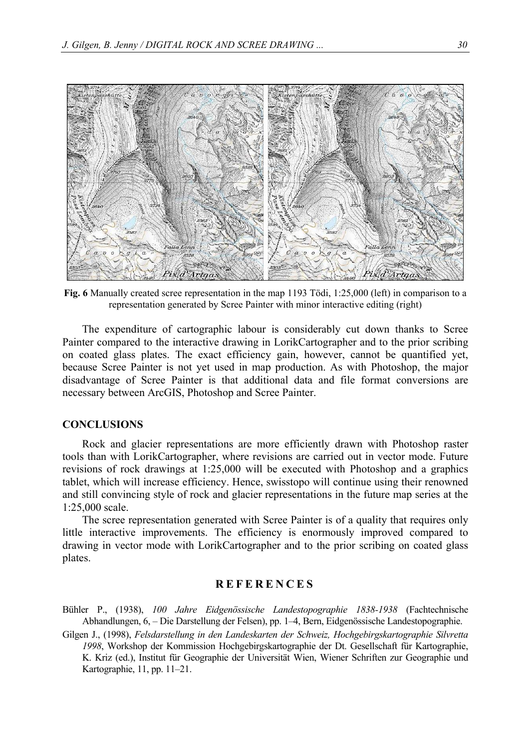

**Fig. 6** Manually created scree representation in the map 1193 Tödi, 1:25,000 (left) in comparison to a representation generated by Scree Painter with minor interactive editing (right)

The expenditure of cartographic labour is considerably cut down thanks to Scree Painter compared to the interactive drawing in LorikCartographer and to the prior scribing on coated glass plates. The exact efficiency gain, however, cannot be quantified yet, because Scree Painter is not yet used in map production. As with Photoshop, the major disadvantage of Scree Painter is that additional data and file format conversions are necessary between ArcGIS, Photoshop and Scree Painter.

## **CONCLUSIONS**

Rock and glacier representations are more efficiently drawn with Photoshop raster tools than with LorikCartographer, where revisions are carried out in vector mode. Future revisions of rock drawings at 1:25,000 will be executed with Photoshop and a graphics tablet, which will increase efficiency. Hence, swisstopo will continue using their renowned and still convincing style of rock and glacier representations in the future map series at the 1:25,000 scale.

The scree representation generated with Scree Painter is of a quality that requires only little interactive improvements. The efficiency is enormously improved compared to drawing in vector mode with LorikCartographer and to the prior scribing on coated glass plates.

# **REFERENCES**

- Bühler P., (1938), *100 Jahre Eidgenössische Landestopographie 1838-1938* (Fachtechnische Abhandlungen, 6, – Die Darstellung der Felsen), pp. 1–4, Bern, Eidgenössische Landestopographie.
- Gilgen J., (1998), *Felsdarstellung in den Landeskarten der Schweiz, Hochgebirgskartographie Silvretta 1998*, Workshop der Kommission Hochgebirgskartographie der Dt. Gesellschaft für Kartographie, K. Kriz (ed.), Institut für Geographie der Universität Wien, Wiener Schriften zur Geographie und Kartographie, 11, pp. 11–21.